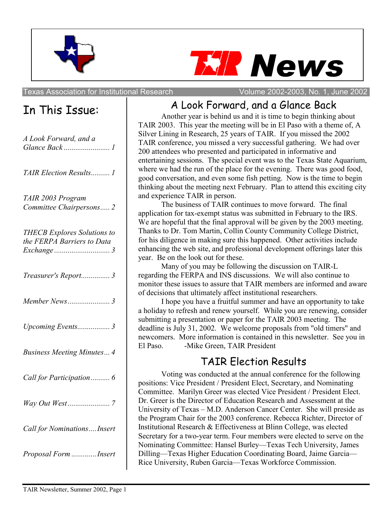



Texas Association for Institutional Research Volume 2002-2003, No. 1, June 2002

## In This Issue:

| A Look Forward, and a                                            |
|------------------------------------------------------------------|
| TAIR Election Results 1                                          |
| TAIR 2003 Program<br>Committee Chairpersons 2                    |
| <b>THECB</b> Explores Solutions to<br>the FERPA Barriers to Data |
| Treasurer's Report 3                                             |
|                                                                  |
| Upcoming Events 3                                                |
| <b>Business Meeting Minutes 4</b>                                |
|                                                                  |
|                                                                  |
| Call for Nominations Insert                                      |
| Proposal Form Insert                                             |

## A Look Forward, and a Glance Back

Another year is behind us and it is time to begin thinking about TAIR 2003. This year the meeting will be in El Paso with a theme of, A Silver Lining in Research, 25 years of TAIR. If you missed the 2002 TAIR conference, you missed a very successful gathering. We had over 200 attendees who presented and participated in informative and entertaining sessions. The special event was to the Texas State Aquarium, where we had the run of the place for the evening. There was good food, good conversation, and even some fish petting. Now is the time to begin thinking about the meeting next February. Plan to attend this exciting city and experience TAIR in person.

The business of TAIR continues to move forward. The final application for tax-exempt status was submitted in February to the IRS. We are hopeful that the final approval will be given by the 2003 meeting. Thanks to Dr. Tom Martin, Collin County Community College District, for his diligence in making sure this happened. Other activities include enhancing the web site, and professional development offerings later this year. Be on the look out for these.

Many of you may be following the discussion on TAIR-L regarding the FERPA and INS discussions. We will also continue to monitor these issues to assure that TAIR members are informed and aware of decisions that ultimately affect institutional researchers.

I hope you have a fruitful summer and have an opportunity to take a holiday to refresh and renew yourself. While you are renewing, consider submitting a presentation or paper for the TAIR 2003 meeting. The deadline is July 31, 2002. We welcome proposals from "old timers" and newcomers. More information is contained in this newsletter. See you in El Paso. - Mike Green, TAIR President

## TAIR Election Results

Voting was conducted at the annual conference for the following positions: Vice President / President Elect, Secretary, and Nominating Committee. Marilyn Greer was elected Vice President / President Elect. Dr. Greer is the Director of Education Research and Assessment at the University of Texas – M.D. Anderson Cancer Center. She will preside as the Program Chair for the 2003 conference. Rebecca Richter, Director of Institutional Research & Effectiveness at Blinn College, was elected Secretary for a two-year term. Four members were elected to serve on the Nominating Committee: Hansel Burley—Texas Tech University, James Dilling—Texas Higher Education Coordinating Board, Jaime Garcia— Rice University, Ruben Garcia—Texas Workforce Commission.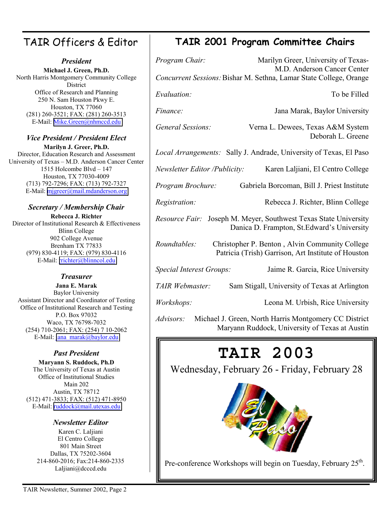#### TAIR Officers & Editor

#### *President*

**Michael J. Green, Ph.D.** North Harris Montgomery Community College **District** Office of Research and Planning 250 N. Sam Houston Pkwy E. Houston, TX 77060 (281) 260-3521; FAX: (281) 260-3513 E-Mail: [Mike.Green@nhmccd.edu](mailto:Mike.Green@nhmccd.edu) 

#### *Vice President / President Elect*

**Marilyn J. Greer, Ph.D.** Director, Education Research and Assessment University of Texas – M.D. Anderson Cancer Center 1515 Holcombe Blvd – 147 Houston, TX 77030-4009 (713) 792-7296; FAX: (713) 792-7327 E-Mail: [mjgreer@mail.mdanderson.org](mailto:mjgreer@mail.mdanderson.org)

#### *Secretary / Membership Chair*

**Rebecca J. Richter** Director of Institutional Research & Effectiveness Blinn College 902 College Avenue Brenham TX 77833 (979) 830-4119; FAX: (979) 830-4116 E-Mail: [rrichter@blinncol.edu](mailto:rrichter@blinncol.edu) 

#### *Treasurer*

**Jana E. Marak** Baylor University Assistant Director and Coordinator of Testing Office of Institutional Research and Testing P.O. Box 97032 Waco, TX 76798-7032 (254) 710-2061; FAX: (254) 7 10-2062 E-Mail: jana\_marak@baylor.edu

#### *Past President*

**Maryann S. Ruddock, Ph.D** The University of Texas at Austin Office of Institutional Studies Main 202 Austin, TX 78712 (512) 471-3833; FAX: (512) 471-8950 E-Mail: [ruddock@mail.utexas.edu](mailto:ruddock@mail.utexas.edu)

#### *Newsletter Editor*

Karen C. Laljiani El Centro College 801 Main Street Dallas, TX 75202-3604 214-860-2016; Fax:214-860-2335 Laljiani@dcccd.edu

#### **TAIR 2001 Program Committee Chairs**

| Program Chair:                | Marilyn Greer, University of Texas-<br>M.D. Anderson Cancer Center                                    |
|-------------------------------|-------------------------------------------------------------------------------------------------------|
|                               | Concurrent Sessions: Bishar M. Sethna, Lamar State College, Orange                                    |
| Evaluation:                   | To be Filled                                                                                          |
| Finance:                      | Jana Marak, Baylor University                                                                         |
| General Sessions:             | Verna L. Dewees, Texas A&M System<br>Deborah L. Greene                                                |
|                               | Local Arrangements: Sally J. Andrade, University of Texas, El Paso                                    |
| Newsletter Editor /Publicity: | Karen Laljiani, El Centro College                                                                     |
| Program Brochure:             | Gabriela Borcoman, Bill J. Priest Institute                                                           |
| <i>Registration:</i>          | Rebecca J. Richter, Blinn College                                                                     |
| Resource Fair:                | Joseph M. Meyer, Southwest Texas State University<br>Danica D. Frampton, St. Edward's University      |
| Roundtables:                  | Christopher P. Benton, Alvin Community College<br>Patricia (Trish) Garrison, Art Institute of Houston |
| Special Interest Groups:      | Jaime R. Garcia, Rice University                                                                      |
| TAIR Webmaster:               | Sam Stigall, University of Texas at Arlington                                                         |
| <i>Workshops:</i>             | Leona M. Urbish, Rice University                                                                      |

*Advisors:* Michael J. Green, North Harris Montgomery CC District Maryann Ruddock, University of Texas at Austin

## **TAIR 2003**

Wednesday, February 26 - Friday, February 28



Pre-conference Workshops will begin on Tuesday, February 25<sup>th</sup>.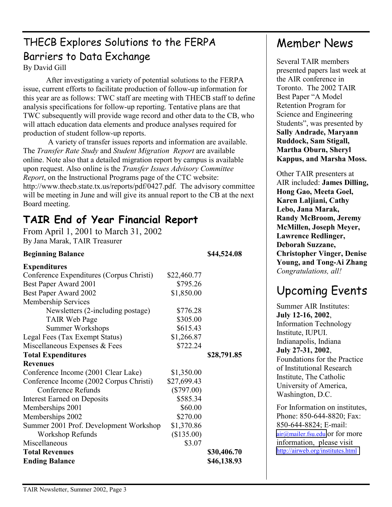## THECB Explores Solutions to the FERPA Barriers to Data Exchange

By David Gill

After investigating a variety of potential solutions to the FERPA issue, current efforts to facilitate production of follow-up information for this year are as follows: TWC staff are meeting with THECB staff to define analysis specifications for follow-up reporting. Tentative plans are that TWC subsequently will provide wage record and other data to the CB, who will attach education data elements and produce analyses required for production of student follow-up reports.

 A variety of transfer issues reports and information are available. The *Transfer Rate Study* and *Student Migration Report* are available online. Note also that a detailed migration report by campus is available upon request. Also online is the *Transfer Issues Advisory Committee Report*, on the Instructional Programs page of the CTC website: http://www.thecb.state.tx.us/reports/pdf/0427.pdf. The advisory committee will be meeting in June and will give its annual report to the CB at the next Board meeting.

## **TAIR End of Year Financial Report**

From April 1, 2001 to March 31, 2002 By Jana Marak, TAIR Treasurer

| <b>Beginning Balance</b>                 |              | \$44,524.08 |
|------------------------------------------|--------------|-------------|
| <b>Expenditures</b>                      |              |             |
| Conference Expenditures (Corpus Christi) | \$22,460.77  |             |
| Best Paper Award 2001                    | \$795.26     |             |
| Best Paper Award 2002                    | \$1,850.00   |             |
| <b>Membership Services</b>               |              |             |
| Newsletters (2-including postage)        | \$776.28     |             |
| <b>TAIR Web Page</b>                     | \$305.00     |             |
| <b>Summer Workshops</b>                  | \$615.43     |             |
| Legal Fees (Tax Exempt Status)           | \$1,266.87   |             |
| Miscellaneous Expenses & Fees            | \$722.24     |             |
| <b>Total Expenditures</b>                |              | \$28,791.85 |
| <b>Revenues</b>                          |              |             |
| Conference Income (2001 Clear Lake)      | \$1,350.00   |             |
| Conference Income (2002 Corpus Christi)  | \$27,699.43  |             |
| Conference Refunds                       | $(\$797.00)$ |             |
| <b>Interest Earned on Deposits</b>       | \$585.34     |             |
| Memberships 2001                         | \$60.00      |             |
| Memberships 2002                         | \$270.00     |             |
| Summer 2001 Prof. Development Workshop   | \$1,370.86   |             |
| <b>Workshop Refunds</b>                  | (\$135.00)   |             |
| Miscellaneous                            | \$3.07       |             |
| <b>Total Revenues</b>                    |              | \$30,406.70 |
| <b>Ending Balance</b>                    |              | \$46,138.93 |

## Member News

Several TAIR members presented papers last week at the AIR conference in Toronto. The 2002 TAIR Best Paper "A Model Retention Program for Science and Engineering Students", was presented by **Sally Andrade, Maryann Ruddock, Sam Stigall, Martha Oburn, Sheryl Kappus, and Marsha Moss.** 

Other TAIR presenters at AIR included: **James Dilling, Hong Gao, Meeta Goel, Karen Laljiani, Cathy Lebo, Jana Marak, Randy McBroom, Jeremy McMillen, Joseph Meyer, Lawrence Redlinger, Deborah Suzzane, Christopher Vinger, Denise Young, and Tong-Ai Zhang**  *Congratulations, all!* 

## Upcoming Events

Summer AIR Institutes: **July 12-16, 2002**, Information Technology Institute, IUPUI. Indianapolis, Indiana **July 27-31, 2002**, Foundations for the Practice of Institutional Research Institute, The Catholic University of America, Washington, D.C. For Information on institutes, Phone: 850-644-8820; Fax: 850-644-8824; E-mail: [air@mailer.fsu.edu](mailto:air@mailer.fsu.edu) or for more

information, please visit <http://airweb.org/institutes.html>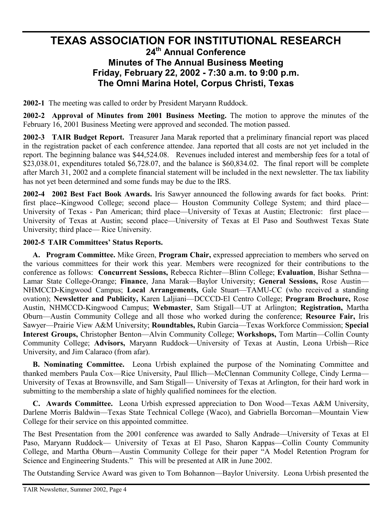#### **TEXAS ASSOCIATION FOR INSTITUTIONAL RESEARCH 24th Annual Conference Minutes of The Annual Business Meeting Friday, February 22, 2002 - 7:30 a.m. to 9:00 p.m. The Omni Marina Hotel, Corpus Christi, Texas**

**2002-1** The meeting was called to order by President Maryann Ruddock.

**2002-2 Approval of Minutes from 2001 Business Meeting.** The motion to approve the minutes of the February 16, 2001 Business Meeting were approved and seconded. The motion passed.

**2002-3 TAIR Budget Report.** Treasurer Jana Marak reported that a preliminary financial report was placed in the registration packet of each conference attendee. Jana reported that all costs are not yet included in the report. The beginning balance was \$44,524.08. Revenues included interest and membership fees for a total of \$23,038.01, expenditures totaled \$6,728.07, and the balance is \$60,834.02. The final report will be complete after March 31, 2002 and a complete financial statement will be included in the next newsletter. The tax liability has not yet been determined and some funds may be due to the IRS.

**2002-4 2002 Best Fact Book Awards.** Iris Sawyer announced the following awards for fact books. Print: first place--Kingwood College; second place— Houston Community College System; and third place— University of Texas - Pan American; third place—University of Texas at Austin; Electronic: first place— University of Texas at Austin; second place—University of Texas at El Paso and Southwest Texas State University; third place— Rice University.

#### **2002-5 TAIR Committees' Status Reports.**

**A. Program Committee.** Mike Green, **Program Chair,** expressed appreciation to members who served on the various committees for their work this year. Members were recognized for their contributions to the conference as follows: **Concurrent Sessions,** Rebecca Richter—Blinn College; **Evaluation**, Bishar Sethna— Lamar State College-Orange; **Finance**, Jana Marak—Baylor University; **General Sessions,** Rose Austin— NHMCCD-Kingwood Campus; **Local Arrangements,** Gale Stuart—TAMU-CC (who received a standing ovation); **Newsletter and Publicity,** Karen Laljiani—DCCCD-El Centro College; **Program Brochure,** Rose Austin, NHMCCD-Kingwood Campus; **Webmaster**, Sam Stigall—UT at Arlington; **Registration,** Martha Oburn—Austin Community College and all those who worked during the conference; **Resource Fair,** Iris Sawyer—Prairie View A&M University; **Roundtables,** Rubin Garcia—Texas Workforce Commission; **Special Interest Groups,** Christopher Benton—Alvin Community College; **Workshops,** Tom Martin—Collin County Community College; **Advisors,** Maryann Ruddock—University of Texas at Austin, Leona Urbish—Rice University, and Jim Calaraco (from afar).

**B. Nominating Committee.** Leona Urbish explained the purpose of the Nominating Committee and thanked members Paula Cox—Rice University, Paul Illich—McClennan Community College, Cindy Lerma— University of Texas at Brownsville, and Sam Stigall— University of Texas at Arlington, for their hard work in submitting to the membership a slate of highly qualified nominees for the election.

**C. Awards Committee.** Leona Urbish expressed appreciation to Don Wood—Texas A&M University, Darlene Morris Baldwin—Texas State Technical College (Waco), and Gabriella Borcoman—Mountain View College for their service on this appointed committee.

The Best Presentation from the 2001 conference was awarded to Sally Andrade—University of Texas at El Paso, Maryann Ruddock— University of Texas at El Paso, Sharon Kappas—Collin County Community College, and Martha Oburn—Austin Community College for their paper "A Model Retention Program for Science and Engineering Students." This will be presented at AIR in June 2002.

The Outstanding Service Award was given to Tom Bohannon—Baylor University. Leona Urbish presented the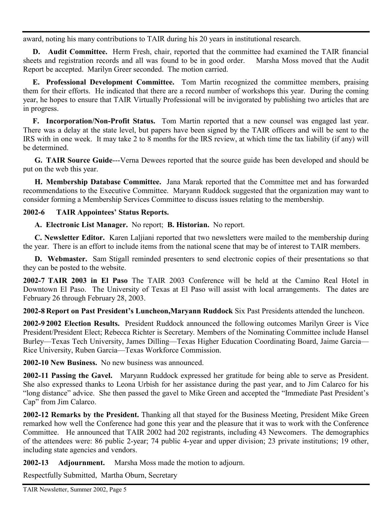award, noting his many contributions to TAIR during his 20 years in institutional research.

**D. Audit Committee.** Herm Fresh, chair, reported that the committee had examined the TAIR financial sheets and registration records and all was found to be in good order. Marsha Moss moved that the Audit Report be accepted. Marilyn Greer seconded. The motion carried.

**E. Professional Development Committee.** Tom Martin recognized the committee members, praising them for their efforts. He indicated that there are a record number of workshops this year. During the coming year, he hopes to ensure that TAIR Virtually Professional will be invigorated by publishing two articles that are in progress.

**F. Incorporation/Non-Profit Status.** Tom Martin reported that a new counsel was engaged last year. There was a delay at the state level, but papers have been signed by the TAIR officers and will be sent to the IRS with in one week. It may take 2 to 8 months for the IRS review, at which time the tax liability (if any) will be determined.

**G. TAIR Source Guide**---Verna Dewees reported that the source guide has been developed and should be put on the web this year.

**H. Membership Database Committee.** Jana Marak reported that the Committee met and has forwarded recommendations to the Executive Committee. Maryann Ruddock suggested that the organization may want to consider forming a Membership Services Committee to discuss issues relating to the membership.

#### **2002-6 TAIR Appointees' Status Reports.**

**A. Electronic List Manager.** No report; **B. Historian.** No report.

**C. Newsletter Editor.** Karen Laljiani reported that two newsletters were mailed to the membership during the year. There is an effort to include items from the national scene that may be of interest to TAIR members.

**D. Webmaster.** Sam Stigall reminded presenters to send electronic copies of their presentations so that they can be posted to the website.

**2002-7 TAIR 2003 in El Paso** The TAIR 2003 Conference will be held at the Camino Real Hotel in Downtown El Paso. The University of Texas at El Paso will assist with local arrangements. The dates are February 26 through February 28, 2003.

**2002-8 Report on Past President's Luncheon,Maryann Ruddock** Six Past Presidents attended the luncheon.

**2002-9 2002 Election Results.** President Ruddock announced the following outcomes Marilyn Greer is Vice President/President Elect; Rebecca Richter is Secretary. Members of the Nominating Committee include Hansel Burley—Texas Tech University, James Dilling—Texas Higher Education Coordinating Board, Jaime Garcia— Rice University, Ruben Garcia—Texas Workforce Commission.

**2002-10 New Business.** No new business was announced.

**2002-11 Passing the Gavel.** Maryann Ruddock expressed her gratitude for being able to serve as President. She also expressed thanks to Leona Urbish for her assistance during the past year, and to Jim Calarco for his "long distance" advice. She then passed the gavel to Mike Green and accepted the "Immediate Past President's Cap" from Jim Calarco.

**2002-12 Remarks by the President.** Thanking all that stayed for the Business Meeting, President Mike Green remarked how well the Conference had gone this year and the pleasure that it was to work with the Conference Committee. He announced that TAIR 2002 had 202 registrants, including 43 Newcomers. The demographics of the attendees were: 86 public 2-year; 74 public 4-year and upper division; 23 private institutions; 19 other, including state agencies and vendors.

**2002-13 Adjournment.** Marsha Moss made the motion to adjourn.

Respectfully Submitted, Martha Oburn, Secretary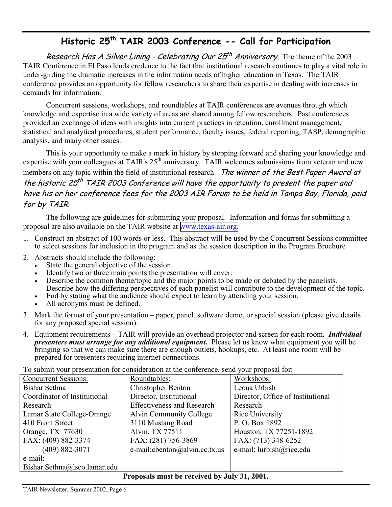#### Historic 25<sup>th</sup> TAIR 2003 Conference -- Call for Participation

Research Has A Silver Lining - Celebrating Our  $25<sup>th</sup>$  Anniversary. The theme of the 2003 TAIR Conference in El Paso lends credence to the fact that institutional research continues to play a vital role in under-girding the dramatic increases in the information needs of higher education in Texas. The TAIR conference provides an opportunity for fellow researchers to share their expertise in dealing with increases in demands for information.

Concurrent sessions, workshops, and roundtables at TAIR conferences are avenues through which knowledge and expertise in a wide variety of areas are shared among fellow researchers. Past conferences provided an exchange of ideas with insights into current practices in retention, enrollment management, statistical and analytical procedures, student performance, faculty issues, federal reporting, TASP, demographic analysis, and many other issues.

This is your opportunity to make a mark in history by stepping forward and sharing your knowledge and expertise with your colleagues at TAIR's 25<sup>th</sup> anniversary. TAIR welcomes submissions from veteran and new members on any topic within the field of institutional research. The winner of the Best Paper Award at the historic  $25<sup>th</sup>$  TAIR 2003 Conference will have the opportunity to present the paper and have his or her conference fees for the 2003 AIR Forum to be held in Tampa Bay, Florida, paid for by TAIR.

The following are guidelines for submitting your proposal. Information and forms for submitting a proposal are also available on the TAIR website at [www.texas-air.org.](http://www.texas-air.org/)

- 1. Construct an abstract of 100 words or less. This abstract will be used by the Concurrent Sessions committee to select sessions for inclusion in the program and as the session description in the Program Brochure
- 2. Abstracts should include the following:
	- State the general objective of the session.
	- Identify two or three main points the presentation will cover.
	- Describe the common theme/topic and the major points to be made or debated by the panelists. Describe how the differing perspectives of each panelist will contribute to the development of the topic.
	- End by stating what the audience should expect to learn by attending your session.
	- All acronyms must be defined.
- 3. Mark the format of your presentation paper, panel, software demo, or special session (please give details for any proposed special session).
- 4. Equipment requirements TAIR will provide an overhead projector and screen for each room*. Individual presenters must arrange for any additional equipment.* Please let us know what equipment you will be bringing so that we can make sure there are enough outlets, hookups, etc. At least one room will be prepared for presenters requiring internet connections.

To submit your presentation for consideration at the conference, send your proposal for:

| TO SUDITITE YOUL PRESCRIBITION TOP CONSIDERATOR BE THE CONTENTING, SCHO YOUL PROPOSAL TOP. |                                          |                                   |  |  |
|--------------------------------------------------------------------------------------------|------------------------------------------|-----------------------------------|--|--|
| <b>Concurrent Sessions:</b>                                                                | Roundtables:                             | Workshops:                        |  |  |
| Bishar Sethna                                                                              | <b>Christopher Benton</b>                | Leona Urbish                      |  |  |
| Coordinator of Institutional                                                               | Director, Institutional                  | Director, Office of Institutional |  |  |
| Research                                                                                   | <b>Effectiveness and Research</b>        | Research                          |  |  |
| Lamar State College-Orange                                                                 | Alvin Community College                  | Rice University                   |  |  |
| 410 Front Street                                                                           | 3110 Mustang Road                        | P.O. Box 1892                     |  |  |
| Orange, TX 77630                                                                           | Alvin, TX 77511                          | Houston, TX 77251-1892            |  |  |
| FAX: (409) 882-3374                                                                        | FAX: (281) 756-3869                      | FAX: (713) 348-6252               |  |  |
| $(409) 882 - 3071$                                                                         | e-mail: $\text{c}$ benton@alvin.cc.tx.us | e-mail: lurbish@rice.edu          |  |  |
| e-mail:                                                                                    |                                          |                                   |  |  |
| Bishar.Sethna@lsco.lamar.edu                                                               |                                          |                                   |  |  |
| <b>Proposals must be received by July 31 2001</b>                                          |                                          |                                   |  |  |

**Proposals must be received by July 31, 2001.**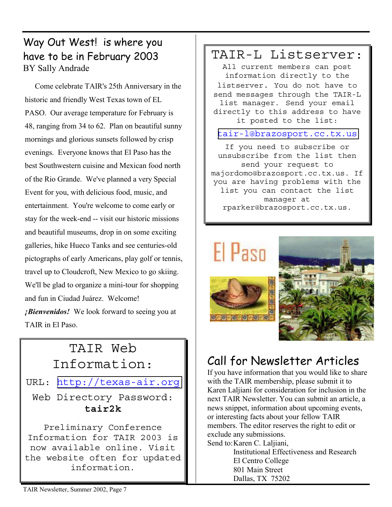#### Way Out West! is where you have to be in February 2003 BY Sally Andrade

 Come celebrate TAIR's 25th Anniversary in the historic and friendly West Texas town of EL PASO. Our average temperature for February is 48, ranging from 34 to 62. Plan on beautiful sunny mornings and glorious sunsets followed by crisp evenings. Everyone knows that El Paso has the best Southwestern cuisine and Mexican food north of the Rio Grande. We've planned a very Special Event for you, with delicious food, music, and entertainment. You're welcome to come early or stay for the week-end -- visit our historic missions and beautiful museums, drop in on some exciting galleries, hike Hueco Tanks and see centuries-old pictographs of early Americans, play golf or tennis, travel up to Cloudcroft, New Mexico to go skiing. We'll be glad to organize a mini-tour for shopping and fun in Ciudad Juárez. Welcome! *¡Bienvenidos!* We look forward to seeing you at TAIR in El Paso.

## TAIR Web Information:

URL: [http://texas-air.org](http://texas-air.org/)

Web Directory Password: **tair2k**

Preliminary Conference Information for TAIR 2003 is now available online. Visit the website often for updated information.

#### TAIR-L Listserver:

All current members can post information directly to the listserver. You do not have to send messages through the TAIR-L list manager. Send your email directly to this address to have it posted to the list:

[tair-l@brazosport.cc.tx.us](mailto:tair-l@brazosport.cc.tx.us)

If you need to subscribe or unsubscribe from the list then send your request to majordomo@brazosport.cc.tx.us. If you are having problems with the list you can contact the list manager at rparker@brazosport.cc.tx.us.

# **H** Pasn





## Call for Newsletter Articles

If you have information that you would like to share with the TAIR membership, please submit it to Karen Laljiani for consideration for inclusion in the next TAIR Newsletter. You can submit an article, a news snippet, information about upcoming events, or interesting facts about your fellow TAIR members. The editor reserves the right to edit or exclude any submissions. Send to: Karen C. Laljiani,

 Institutional Effectiveness and Research El Centro College 801 Main Street Dallas, TX 75202